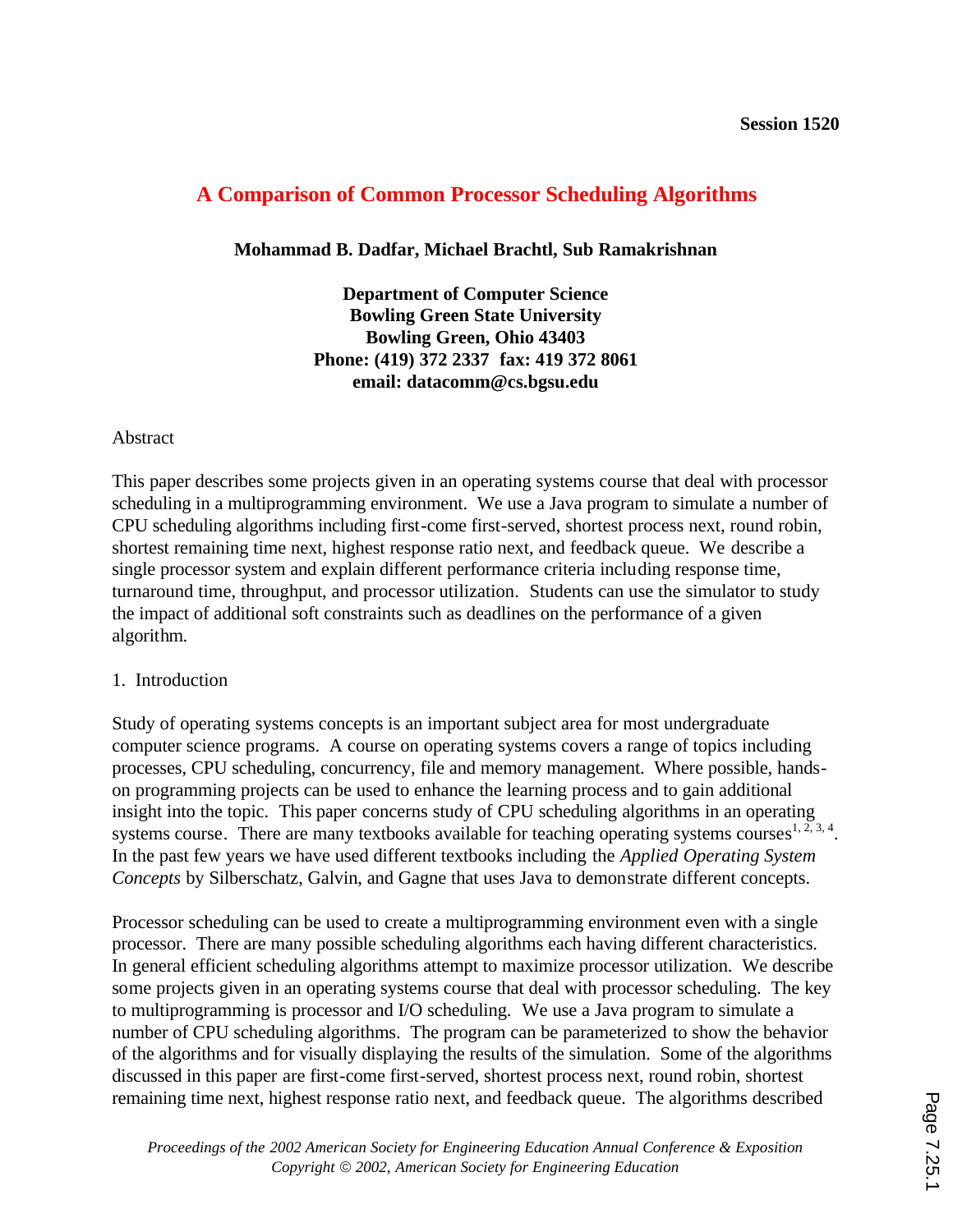# **A Comparison of Common Processor Scheduling Algorithms**

### **Mohammad B. Dadfar, Michael Brachtl, Sub Ramakrishnan**

**Department of Computer Science Bowling Green State University Bowling Green, Ohio 43403 Phone: (419) 372 2337 fax: 419 372 8061 email: datacomm@cs.bgsu.edu** 

### Abstract

This paper describes some projects given in an operating systems course that deal with processor scheduling in a multiprogramming environment. We use a Java program to simulate a number of CPU scheduling algorithms including first-come first-served, shortest process next, round robin, shortest remaining time next, highest response ratio next, and feedback queue. We describe a single processor system and explain different performance criteria including response time, turnaround time, throughput, and processor utilization. Students can use the simulator to study the impact of additional soft constraints such as deadlines on the performance of a given algorithm.

### 1. Introduction

Study of operating systems concepts is an important subject area for most undergraduate computer science programs. A course on operating systems covers a range of topics including processes, CPU scheduling, concurrency, file and memory management. Where possible, handson programming projects can be used to enhance the learning process and to gain additional insight into the topic. This paper concerns study of CPU scheduling algorithms in an operating systems course. There are many textbooks available for teaching operating systems courses<sup>1, 2, 3, 4</sup>. In the past few years we have used different textbooks including the *Applied Operating System Concepts* by Silberschatz, Galvin, and Gagne that uses Java to demonstrate different concepts.

Processor scheduling can be used to create a multiprogramming environment even with a single processor. There are many possible scheduling algorithms each having different characteristics. In general efficient scheduling algorithms attempt to maximize processor utilization. We describe some projects given in an operating systems course that deal with processor scheduling. The key to multiprogramming is processor and I/O scheduling. We use a Java program to simulate a number of CPU scheduling algorithms. The program can be parameterized to show the behavior of the algorithms and for visually displaying the results of the simulation. Some of the algorithms discussed in this paper are first-come first-served, shortest process next, round robin, shortest remaining time next, highest response ratio next, and feedback queue. The algorithms described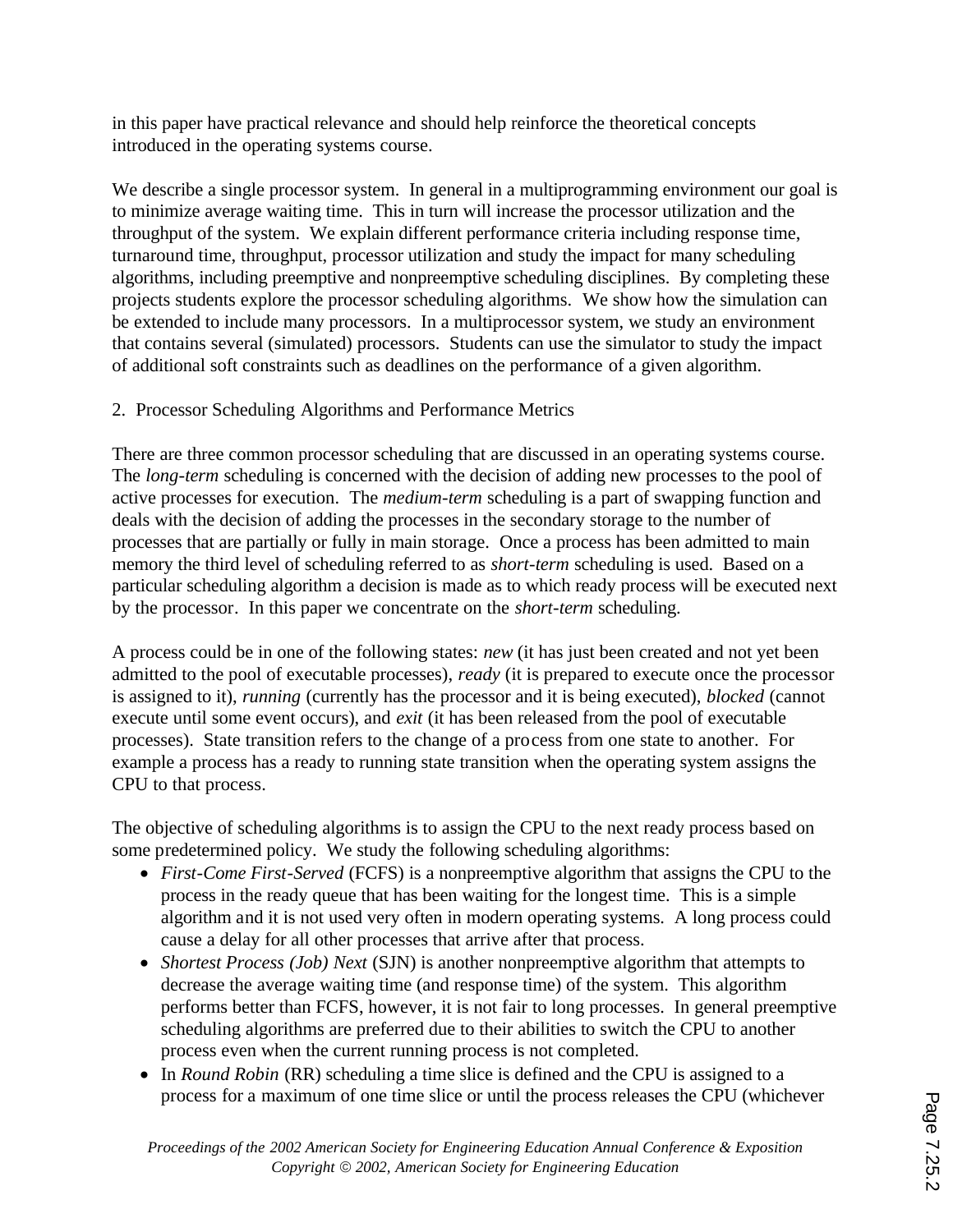in this paper have practical relevance and should help reinforce the theoretical concepts introduced in the operating systems course.

We describe a single processor system. In general in a multiprogramming environment our goal is to minimize average waiting time. This in turn will increase the processor utilization and the throughput of the system. We explain different performance criteria including response time, turnaround time, throughput, processor utilization and study the impact for many scheduling algorithms, including preemptive and nonpreemptive scheduling disciplines. By completing these projects students explore the processor scheduling algorithms. We show how the simulation can be extended to include many processors. In a multiprocessor system, we study an environment that contains several (simulated) processors. Students can use the simulator to study the impact of additional soft constraints such as deadlines on the performance of a given algorithm.

# 2. Processor Scheduling Algorithms and Performance Metrics

There are three common processor scheduling that are discussed in an operating systems course. The *long-term* scheduling is concerned with the decision of adding new processes to the pool of active processes for execution. The *medium-term* scheduling is a part of swapping function and deals with the decision of adding the processes in the secondary storage to the number of processes that are partially or fully in main storage. Once a process has been admitted to main memory the third level of scheduling referred to as *short-term* scheduling is used. Based on a particular scheduling algorithm a decision is made as to which ready process will be executed next by the processor. In this paper we concentrate on the *short-term* scheduling.

A process could be in one of the following states: *new* (it has just been created and not yet been admitted to the pool of executable processes), *ready* (it is prepared to execute once the processor is assigned to it), *running* (currently has the processor and it is being executed), *blocked* (cannot execute until some event occurs), and *exit* (it has been released from the pool of executable processes). State transition refers to the change of a process from one state to another. For example a process has a ready to running state transition when the operating system assigns the CPU to that process.

The objective of scheduling algorithms is to assign the CPU to the next ready process based on some predetermined policy. We study the following scheduling algorithms:

- · *First-Come First-Served* (FCFS) is a nonpreemptive algorithm that assigns the CPU to the process in the ready queue that has been waiting for the longest time. This is a simple algorithm and it is not used very often in modern operating systems. A long process could cause a delay for all other processes that arrive after that process.
- *Shortest Process (Job) Next* (SJN) is another nonpreemptive algorithm that attempts to decrease the average waiting time (and response time) of the system. This algorithm performs better than FCFS, however, it is not fair to long processes. In general preemptive scheduling algorithms are preferred due to their abilities to switch the CPU to another process even when the current running process is not completed.
- In *Round Robin* (RR) scheduling a time slice is defined and the CPU is assigned to a process for a maximum of one time slice or until the process releases the CPU (whichever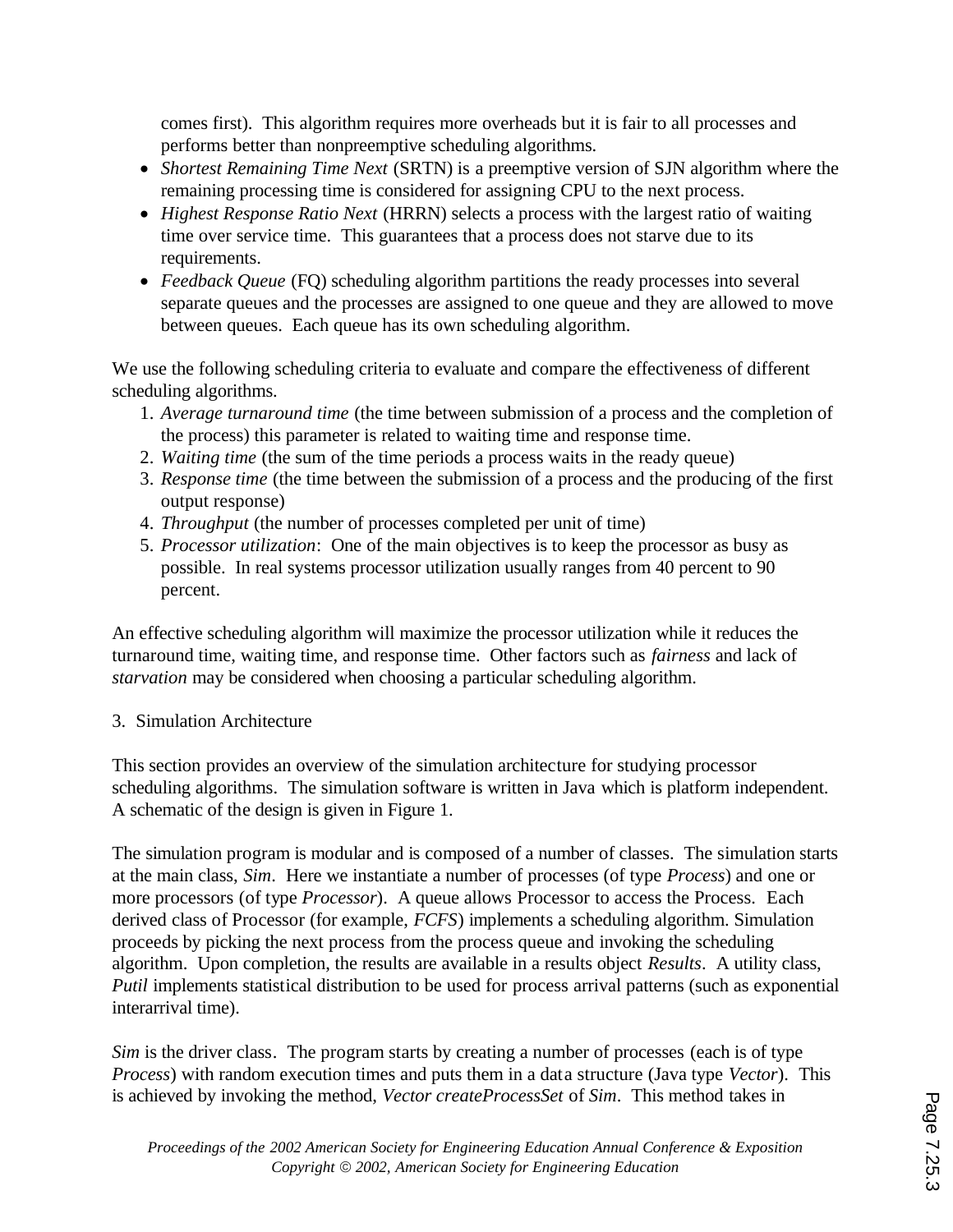comes first). This algorithm requires more overheads but it is fair to all processes and performs better than nonpreemptive scheduling algorithms.

- · *Shortest Remaining Time Next* (SRTN) is a preemptive version of SJN algorithm where the remaining processing time is considered for assigning CPU to the next process.
- · *Highest Response Ratio Next* (HRRN) selects a process with the largest ratio of waiting time over service time. This guarantees that a process does not starve due to its requirements.
- · *Feedback Queue* (FQ) scheduling algorithm partitions the ready processes into several separate queues and the processes are assigned to one queue and they are allowed to move between queues. Each queue has its own scheduling algorithm.

We use the following scheduling criteria to evaluate and compare the effectiveness of different scheduling algorithms.

- 1. *Average turnaround time* (the time between submission of a process and the completion of the process) this parameter is related to waiting time and response time.
- 2. *Waiting time* (the sum of the time periods a process waits in the ready queue)
- 3. *Response time* (the time between the submission of a process and the producing of the first output response)
- 4. *Throughput* (the number of processes completed per unit of time)
- 5. *Processor utilization*: One of the main objectives is to keep the processor as busy as possible. In real systems processor utilization usually ranges from 40 percent to 90 percent.

An effective scheduling algorithm will maximize the processor utilization while it reduces the turnaround time, waiting time, and response time. Other factors such as *fairness* and lack of *starvation* may be considered when choosing a particular scheduling algorithm.

# 3. Simulation Architecture

This section provides an overview of the simulation architecture for studying processor scheduling algorithms. The simulation software is written in Java which is platform independent. A schematic of the design is given in Figure 1.

The simulation program is modular and is composed of a number of classes. The simulation starts at the main class, *Sim*. Here we instantiate a number of processes (of type *Process*) and one or more processors (of type *Processor*). A queue allows Processor to access the Process. Each derived class of Processor (for example, *FCFS*) implements a scheduling algorithm. Simulation proceeds by picking the next process from the process queue and invoking the scheduling algorithm. Upon completion, the results are available in a results object *Results*. A utility class, *Putil* implements statistical distribution to be used for process arrival patterns (such as exponential interarrival time).

*Sim* is the driver class. The program starts by creating a number of processes (each is of type *Process*) with random execution times and puts them in a data structure (Java type *Vector*). This is achieved by invoking the method, *Vector createProcessSet* of *Sim*. This method takes in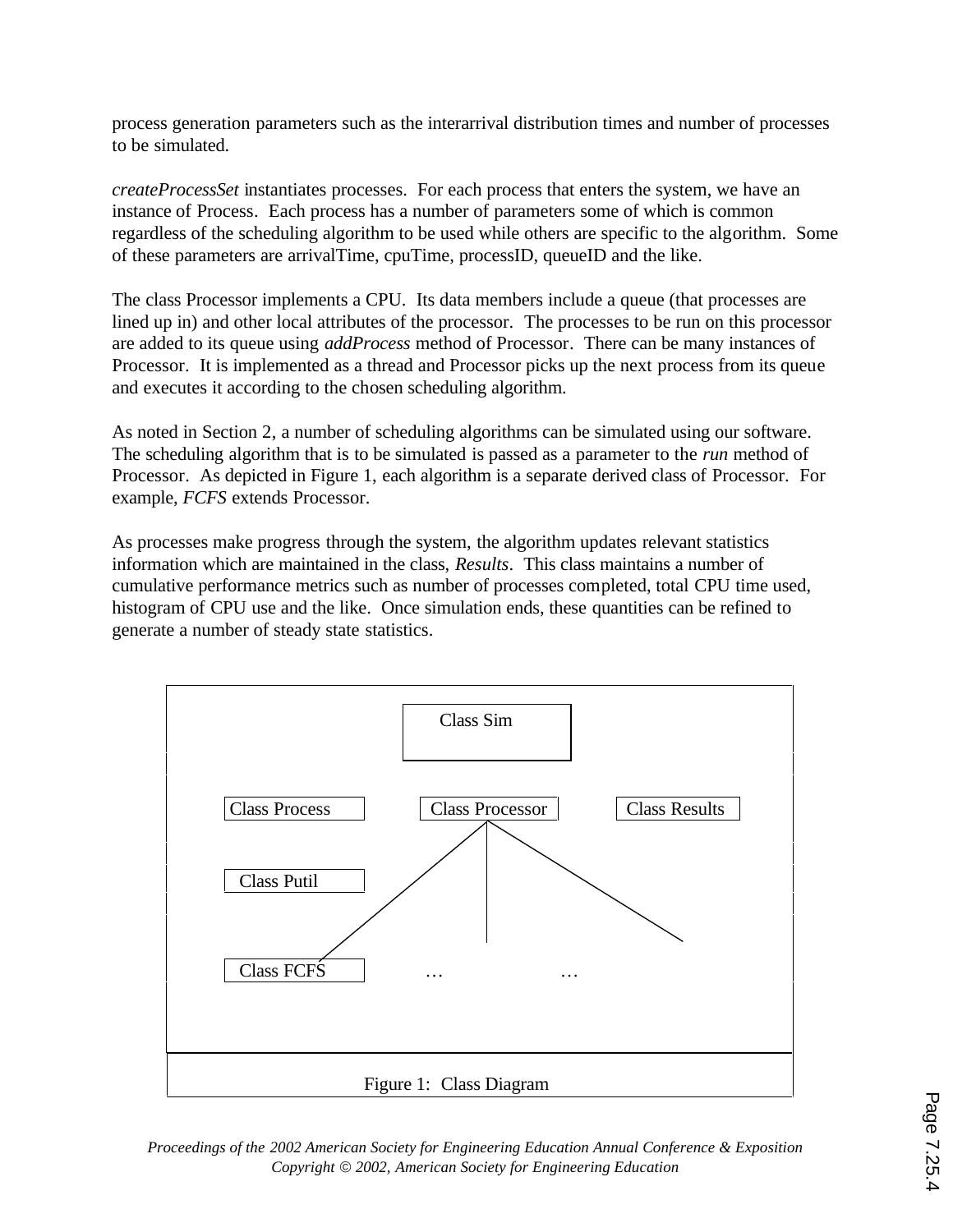process generation parameters such as the interarrival distribution times and number of processes to be simulated.

*createProcessSet* instantiates processes. For each process that enters the system, we have an instance of Process. Each process has a number of parameters some of which is common regardless of the scheduling algorithm to be used while others are specific to the algorithm. Some of these parameters are arrivalTime, cpuTime, processID, queueID and the like.

The class Processor implements a CPU. Its data members include a queue (that processes are lined up in) and other local attributes of the processor. The processes to be run on this processor are added to its queue using *addProcess* method of Processor. There can be many instances of Processor. It is implemented as a thread and Processor picks up the next process from its queue and executes it according to the chosen scheduling algorithm.

As noted in Section 2, a number of scheduling algorithms can be simulated using our software. The scheduling algorithm that is to be simulated is passed as a parameter to the *run* method of Processor. As depicted in Figure 1, each algorithm is a separate derived class of Processor. For example, *FCFS* extends Processor.

As processes make progress through the system, the algorithm updates relevant statistics information which are maintained in the class, *Results*. This class maintains a number of cumulative performance metrics such as number of processes completed, total CPU time used, histogram of CPU use and the like. Once simulation ends, these quantities can be refined to generate a number of steady state statistics.



*Proceedings of the 2002 American Society for Engineering Education Annual Conference & Exposition Copyright* ã *2002, American Society for Engineering Education*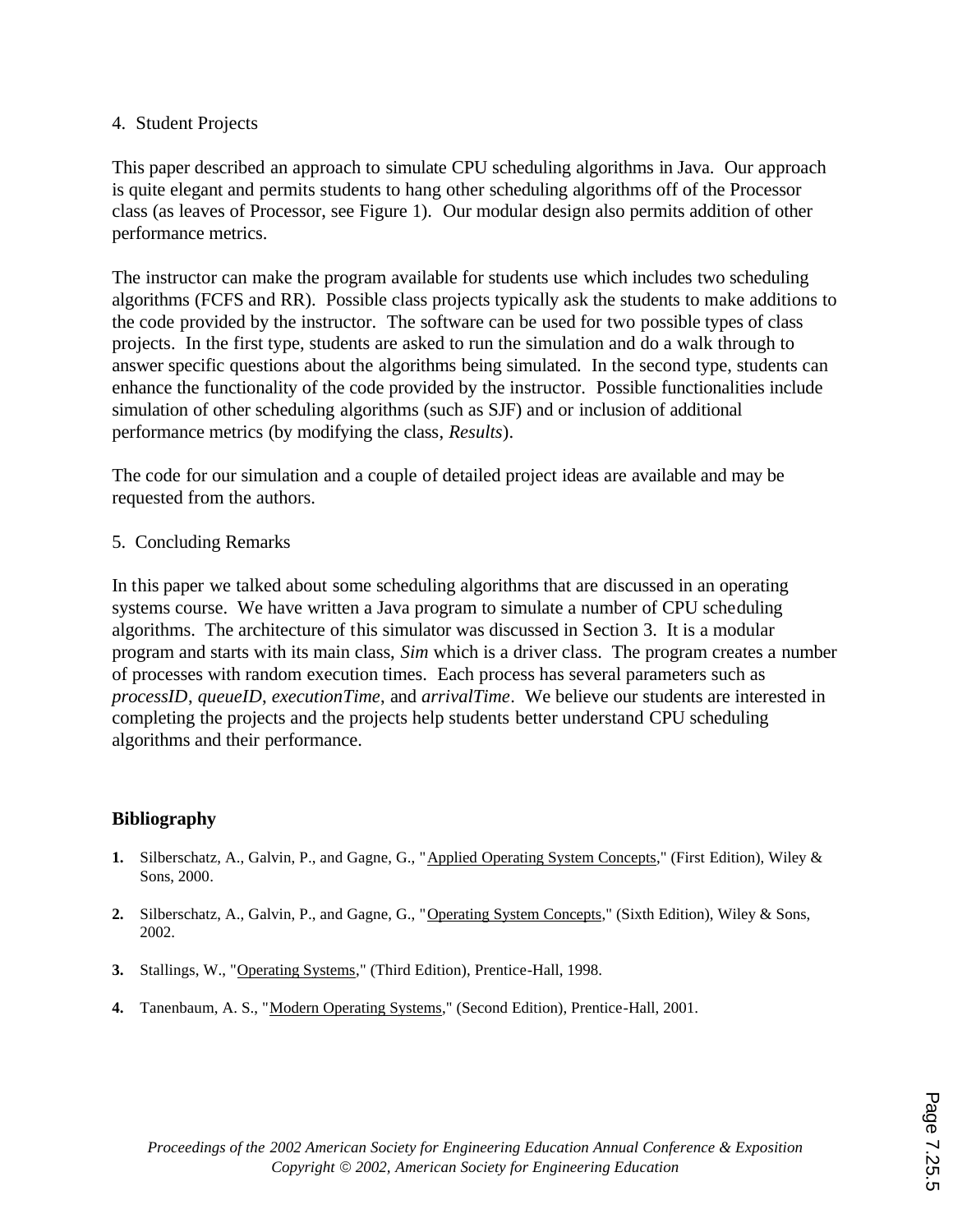### 4. Student Projects

This paper described an approach to simulate CPU scheduling algorithms in Java. Our approach is quite elegant and permits students to hang other scheduling algorithms off of the Processor class (as leaves of Processor, see Figure 1). Our modular design also permits addition of other performance metrics.

The instructor can make the program available for students use which includes two scheduling algorithms (FCFS and RR). Possible class projects typically ask the students to make additions to the code provided by the instructor. The software can be used for two possible types of class projects. In the first type, students are asked to run the simulation and do a walk through to answer specific questions about the algorithms being simulated. In the second type, students can enhance the functionality of the code provided by the instructor. Possible functionalities include simulation of other scheduling algorithms (such as SJF) and or inclusion of additional performance metrics (by modifying the class, *Results*).

The code for our simulation and a couple of detailed project ideas are available and may be requested from the authors.

5. Concluding Remarks

In this paper we talked about some scheduling algorithms that are discussed in an operating systems course. We have written a Java program to simulate a number of CPU scheduling algorithms. The architecture of this simulator was discussed in Section 3. It is a modular program and starts with its main class, *Sim* which is a driver class. The program creates a number of processes with random execution times. Each process has several parameters such as *processID*, *queueID*, *executionTime*, and *arrivalTime*. We believe our students are interested in completing the projects and the projects help students better understand CPU scheduling algorithms and their performance.

# **Bibliography**

- **1.** Silberschatz, A., Galvin, P., and Gagne, G., "Applied Operating System Concepts," (First Edition), Wiley & Sons, 2000.
- **2.** Silberschatz, A., Galvin, P., and Gagne, G., "Operating System Concepts," (Sixth Edition), Wiley & Sons, 2002.
- **3.** Stallings, W., "Operating Systems," (Third Edition), Prentice-Hall, 1998.
- **4.** Tanenbaum, A. S., "Modern Operating Systems," (Second Edition), Prentice-Hall, 2001.